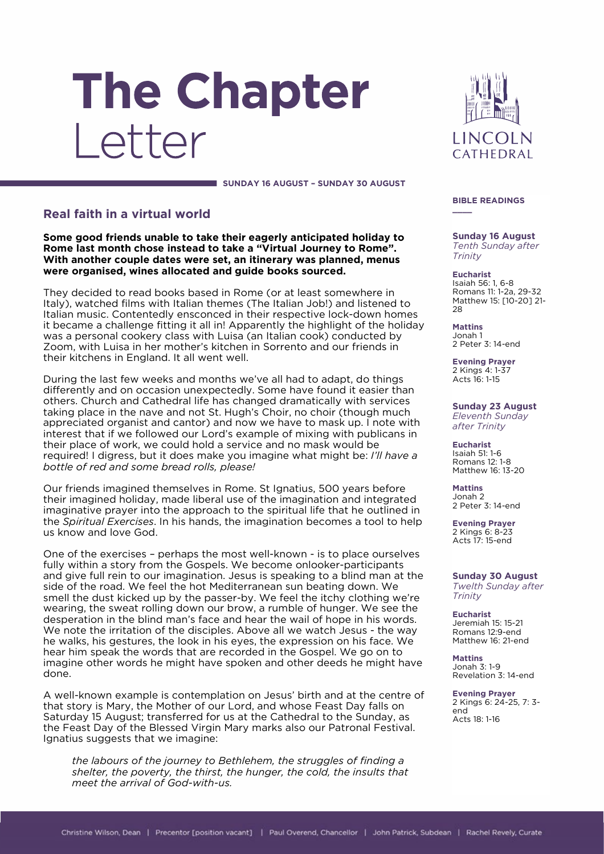# The Chapter Letter

LINCOLN CATHEDRAL

#### **SUNDAY 16 AUGUST – SUNDAY 30 AUGUST**

## **Real faith in a virtual world**

**Some good friends unable to take their eagerly anticipated holiday to Rome last month chose instead to take a "Virtual Journey to Rome". With another couple dates were set, an itinerary was planned, menus were organised, wines allocated and guide books sourced.** 

They decided to read books based in Rome (or at least somewhere in Italy), watched films with Italian themes (The Italian Job!) and listened to Italian music. Contentedly ensconced in their respective lock-down homes it became a challenge fitting it all in! Apparently the highlight of the holiday was a personal cookery class with Luisa (an Italian cook) conducted by Zoom, with Luisa in her mother's kitchen in Sorrento and our friends in their kitchens in England. It all went well.

During the last few weeks and months we've all had to adapt, do things differently and on occasion unexpectedly. Some have found it easier than others. Church and Cathedral life has changed dramatically with services taking place in the nave and not St. Hugh's Choir, no choir (though much appreciated organist and cantor) and now we have to mask up. I note with interest that if we followed our Lord's example of mixing with publicans in their place of work, we could hold a service and no mask would be required! I digress, but it does make you imagine what might be: *I'll have a bottle of red and some bread rolls, please!*

Our friends imagined themselves in Rome. St Ignatius, 500 years before their imagined holiday, made liberal use of the imagination and integrated imaginative prayer into the approach to the spiritual life that he outlined in the *Spiritual Exercises*. In his hands, the imagination becomes a tool to help us know and love God.

One of the exercises – perhaps the most well-known - is to place ourselves fully within a story from the Gospels. We become onlooker-participants and give full rein to our imagination. Jesus is speaking to a blind man at the side of the road. We feel the hot Mediterranean sun beating down. We smell the dust kicked up by the passer-by. We feel the itchy clothing we're wearing, the sweat rolling down our brow, a rumble of hunger. We see the desperation in the blind man's face and hear the wail of hope in his words. We note the irritation of the disciples. Above all we watch Jesus - the way he walks, his gestures, the look in his eyes, the expression on his face. We hear him speak the words that are recorded in the Gospel. We go on to imagine other words he might have spoken and other deeds he might have done.

A well-known example is contemplation on Jesus' birth and at the centre of that story is Mary, the Mother of our Lord, and whose Feast Day falls on Saturday 15 August; transferred for us at the Cathedral to the Sunday, as the Feast Day of the Blessed Virgin Mary marks also our Patronal Festival. Ignatius suggests that we imagine:

*the labours of the journey to Bethlehem, the struggles of finding a shelter, the poverty, the thirst, the hunger, the cold, the insults that meet the arrival of God-with-us.*

#### **BIBLE READINGS**

**\_\_\_\_**

**Sunday 16 August** *Tenth Sunday after Trinity*

**Eucharist** Isaiah 56: 1, 6-8 Romans 11: 1-2a, 29-32 Matthew 15: [10-20] 21- 28

**Mattins** Jonah 1 2 Peter 3: 14-end

**Evening Prayer** 2 Kings 4: 1-37 Acts 16: 1-15

**Sunday 23 August** *Eleventh Sunday after Trinity*

**Eucharist** Isaiah 51: 1-6 Romans 12: 1-8 Matthew 16: 13-20

**Mattins** Jonah 2 2 Peter 3: 14-end

**Evening Prayer** 2 Kings 6: 8-23 Acts 17: 15-end

**Sunday 30 August** *Twelth Sunday after Trinity*

**Eucharist** Jeremiah 15: 15-21 Romans 12:9-end Matthew 16: 21-end

**Mattins** Jonah 3: 1-9 Revelation 3: 14-end

**Evening Prayer** 2 Kings 6: 24-25, 7: 3 end Acts 18: 1-16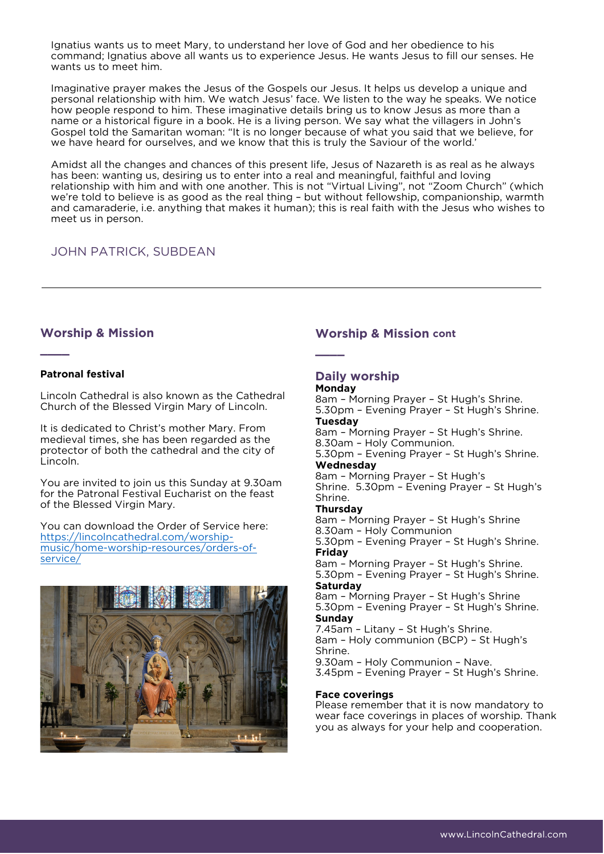Ignatius wants us to meet Mary, to understand her love of God and her obedience to his command; Ignatius above all wants us to experience Jesus. He wants Jesus to fill our senses. He wants us to meet him.

Imaginative prayer makes the Jesus of the Gospels our Jesus. It helps us develop a unique and personal relationship with him. We watch Jesus' face. We listen to the way he speaks. We notice how people respond to him. These imaginative details bring us to know Jesus as more than a name or a historical figure in a book. He is a living person. We say what the villagers in John's Gospel told the Samaritan woman: "It is no longer because of what you said that we believe, for we have heard for ourselves, and we know that this is truly the Saviour of the world.'

Amidst all the changes and chances of this present life, Jesus of Nazareth is as real as he always has been: wanting us, desiring us to enter into a real and meaningful, faithful and loving relationship with him and with one another. This is not "Virtual Living", not "Zoom Church" (which we're told to believe is as good as the real thing – but without fellowship, companionship, warmth and camaraderie, i.e. anything that makes it human); this is real faith with the Jesus who wishes to meet us in person.

# JOHN PATRICK, SUBDEAN

## **Worship & Mission**

## **Patronal festival**

**\_\_\_\_**

Lincoln Cathedral is also known as the Cathedral Church of the Blessed Virgin Mary of Lincoln.

It is dedicated to Christ's mother Mary. From medieval times, she has been regarded as the protector of both the cathedral and the city of Lincoln.

You are invited to join us this Sunday at 9.30am for the Patronal Festival Eucharist on the feast of the Blessed Virgin Mary.

You can download the Order of Service here: [https://lincolncathedral.com/worship](https://lincolncathedral.com/worship-music/home-worship-resources/orders-of-service/)[music/home-worship-resources/orders-of](https://lincolncathedral.com/worship-music/home-worship-resources/orders-of-service/)[service/](https://lincolncathedral.com/worship-music/home-worship-resources/orders-of-service/)



## **Worship & Mission cont**

**Daily worship**

## **Monday**

**\_\_\_\_**

8am – Morning Prayer – St Hugh's Shrine. 5.30pm – Evening Prayer – St Hugh's Shrine. **Tuesday**

8am – Morning Prayer – St Hugh's Shrine. 8.30am – Holy Communion. 5.30pm – Evening Prayer – St Hugh's Shrine. **Wednesday** 8am – Morning Prayer – St Hugh's

Shrine. 5.30pm – Evening Prayer – St Hugh's Shrine.

## **Thursday**

8am – Morning Prayer – St Hugh's Shrine 8.30am – Holy Communion 5.30pm – Evening Prayer – St Hugh's Shrine. **Friday** 8am – Morning Prayer – St Hugh's Shrine.

5.30pm – Evening Prayer – St Hugh's Shrine. **Saturday**

8am – Morning Prayer – St Hugh's Shrine 5.30pm – Evening Prayer – St Hugh's Shrine. **Sunday**

7.45am – Litany – St Hugh's Shrine. 8am – Holy communion (BCP) – St Hugh's Shrine. 9.30am – Holy Communion – Nave.

3.45pm – Evening Prayer – St Hugh's Shrine.

#### **Face coverings**

Please remember that it is now mandatory to wear face coverings in places of worship. Thank you as always for your help and cooperation.